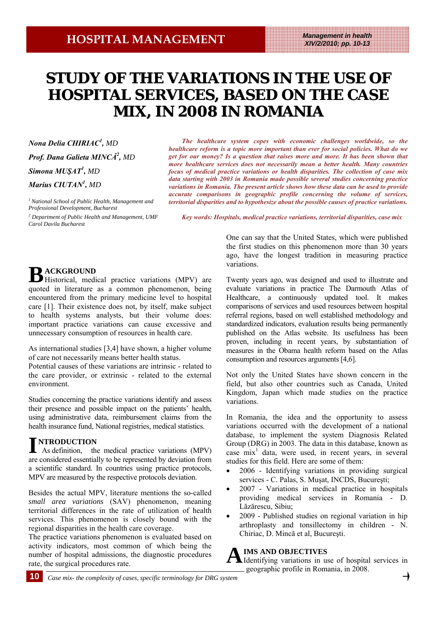## **STUDY OF THE VARIATIONS IN THE USE OF HOSPITAL SERVICES, BASED ON THE CASE MIX, IN 2008 IN ROMANIA**

*Nona Delia CHIRIAC<sup>1</sup> , MD Prof. Dana Galieta MINCĂ<sup>2</sup> , MD Simona MUŞAT<sup>1</sup> , MD Marius CIUTAN1 , MD*

*1 National School of Public Health, Management and Professional Development, Bucharest*

*2 Department of Public Health and Management, UMF Carol Davila Bucharest* 

*The healthcare system copes with economic challenges worldwide, so the healthcare reform is a topic more important than ever for social policies. What do we get for our money? Is a question that raises more and more. It has been shown that more healthcare services does not necessarily mean a better health. Many countries focus of medical practice variations or health disparities. The collection of case mix data starting with 2003 in Romania made possible several studies concerning practice variations in Romania. The present article shows how these data can be used to provide accurate comparisons in geographic profile concerning the volume of services, territorial disparities and to hypothesize about the possible causes of practice variations.* 

*Key words: Hospitals, medical practice variations, territorial disparities, case mix*

**B ACKGROUND**  Historical, medical practice variations (MPV) are quoted in literature as a common phenomenon, being encountered from the primary medicine level to hospital care [1]. Their existence does not, by itself, make subject to health systems analysts, but their volume does: important practice variations can cause excessive and unnecessary consumption of resources in health care.

As international studies [3,4] have shown, a higher volume of care not necessarily means better health status.

Potential causes of these variations are intrinsic - related to the care provider, or extrinsic - related to the external environment.

Studies concerning the practice variations identify and assess their presence and possible impact on the patients' health, using administrative data, reimbursement claims from the health insurance fund, National registries, medical statistics.

# **I NTRODUCTION**

 As definition, the medical practice variations (MPV) are considered essentially to be represented by deviation from a scientific standard. In countries using practice protocols, MPV are measured by the respective protocols deviation.

Besides the actual MPV, literature mentions the so-called *small area variations* (SAV) phenomenon, meaning territorial differences in the rate of utilization of health services. This phenomenon is closely bound with the regional disparities in the health care coverage.

The practice variations phenomenon is evaluated based on activity indicators, most common of which being the number of hospital admissions, the diagnostic procedures rate, the surgical procedures rate.

One can say that the United States, which were published the first studies on this phenomenon more than 30 years ago, have the longest tradition in measuring practice variations.

Twenty years ago, was designed and used to illustrate and evaluate variations in practice The Darmouth Atlas of Healthcare, a continuously updated tool. It makes comparisons of services and used resources between hospital referral regions, based on well established methodology and standardized indicators, evaluation results being permanently published on the Atlas website. Its usefulness has been proven, including in recent years, by substantiation of measures in the Obama health reform based on the Atlas consumption and resources arguments [4,6].

Not only the United States have shown concern in the field, but also other countries such as Canada, United Kingdom, Japan which made studies on the practice variations.

In Romania, the idea and the opportunity to assess variations occurred with the development of a national database, to implement the system Diagnosis Related Group (DRG) in 2003. The data in this database, known as case mix<sup>1</sup> data, were used, in recent years, in several studies for this field. Here are some of them:

- 2006 Identifying variations in providing surgical services - C. Palas, S. Muşat, INCDS, Bucureşti;
- 2007 Variations in medical practice in hospitals providing medical services in Romania - D. Lăzărescu, Sibiu;
- 2009 Published studies on regional variation in hip arthroplasty and tonsillectomy in children - N. Chiriac, D. Mincă et al, Bucureşti.

**A IMS AND OBJECTIVES**  Identifying variations in use of hospital services in geographic profile in Romania, in 2008.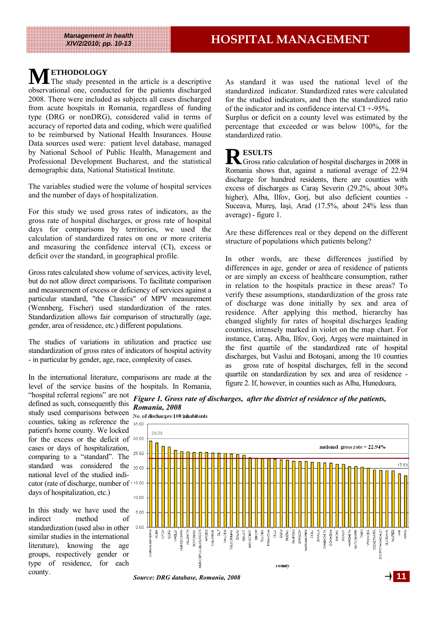**M ETHODOLOGY**  The study presented in the article is a descriptive observational one, conducted for the patients discharged 2008. There were included as subjects all cases discharged from acute hospitals in Romania, regardless of funding type (DRG or nonDRG), considered valid in terms of accuracy of reported data and coding, which were qualified to be reimbursed by National Health Insurances. House Data sources used were: patient level database, managed by National School of Public Health, Management and Professional Development Bucharest, and the statistical demographic data, National Statistical Institute.

The variables studied were the volume of hospital services and the number of days of hospitalization.

For this study we used gross rates of indicators, as the gross rate of hospital discharges, or gross rate of hospital days for comparisons by territories, we used the calculation of standardized rates on one or more criteria and measuring the confidence interval (CI), excess or deficit over the standard, in geographical profile.

Gross rates calculated show volume of services, activity level, but do not allow direct comparisons. To facilitate comparison and measurement of excess or deficiency of services against a particular standard, "the Classics" of MPV measurement (Wennberg, Fischer) used standardization of the rates. Standardization allows fair comparison of structurally (age, gender, area of residence, etc.) different populations.

The studies of variations in utilization and practice use standardization of gross rates of indicators of hospital activity - in particular by gender, age, race, complexity of cases.

In the international literature, comparisons are made at the level of the service basins of the hospitals. In Romania, As standard it was used the national level of the standardized indicator. Standardized rates were calculated for the studied indicators, and then the standardized ratio of the indicator and its confidence interval CI +-95%.

Surplus or deficit on a county level was estimated by the percentage that exceeded or was below 100%, for the standardized ratio.

### **P** ESULTS

Gross ratio calculation of hospital discharges in 2008 in Romania shows that, against a national average of 22.94 discharge for hundred residents, there are counties with excess of discharges as Caraş Severin (29.2%, about 30% higher), Alba, Ilfov, Gori, but also deficient counties -Suceava, Mureş, Iaşi, Arad (17.5%, about 24% less than average) - figure 1.

Are these differences real or they depend on the different structure of populations which patients belong?

In other words, are these differences justified by differences in age, gender or area of residence of patients or are simply an excess of healthcare consumption, rather in relation to the hospitals practice in these areas? To verify these assumptions, standardization of the gross rate of discharge was done initially by sex and area of residence. After applying this method, hierarchy has changed slightly for rates of hospital discharges leading counties, intensely marked in violet on the map chart. For instance, Caraş, Alba, Ilfov, Gorj, Argeş were maintained in the first quartile of the standardized rate of hospital discharges, but Vaslui and Botoşani, among the 10 counties as gross rate of hospital discharges, fell in the second quartile on standardization by sex and area of residence figure 2. If, however, in counties such as Alba, Hunedoara,

"hospital referral regions" are not *Figure 1. Gross rate of discharges, after the district of residence of the patients,*  defined as such, consequently this *Romania, 2008*  study used comparisons between No. of discharges/100 inhabitants counties, taking as reference the 35.00 patient's home county. We locked for the excess or the deficit of cases or days of hospitalization, comparing to a "standard". The standard was considered the 20.00 national level of the studied indicator (rate of discharge, number of days of hospitalization, etc.)

In this study we have used the indirect method of standardization (used also in other similar studies in the international literature), knowing the age groups, respectively gender or type of residence, for each county.



*Source: DRG database, Romania, 2008* **11**

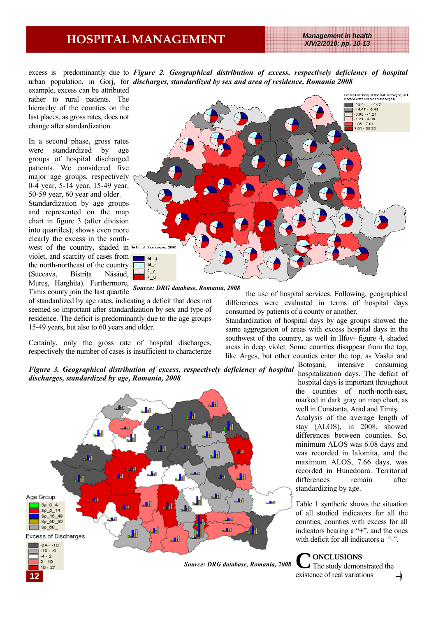### **HOSPITAL MANAGEMENT** *Management in health*

*XIV/2/2010; pp. 10-13* 

excess is predominantly due to *Figure 2. Geographical distribution of excess, respectively deficiency of hospital* urban population, in Gorj, for *discharges, standardized by sex and area of residence, Romania 2008* example, excess can be attributed rather to rural patients. The hierarchy of the counties on the last places, as gross rates, does not change after standardization.

In a second phase, gross rates were standardized by age groups of hospital discharged patients. We considered five major age groups, respectively 0-4 year, 5-14 year, 15-49 year, 50-59 year, 60 year and older.

Standardization by age groups and represented on the map chart in figure 3 (after division into quartiles), shows even more clearly the excess in the southwest of the country, shaded in  $W^{1/2}$  Mo of Dischaeges, 2008 violet, and scarcity of cases from the north-northeast of the country (Suceava, Bistriţa Năsăud, Mureş, Harghita). Furthermore, Timis county join the last quartile *Source: DRG database, Romania, 2008* 



of standardized by age rates, indicating a deficit that does not seemed so important after standardization by sex and type of residence. The deficit is predominantly due to the age groups 15-49 years, but also to 60 years and older.

Certainly, only the gross rate of hospital discharges, respectively the number of cases is insufficient to characterize

the use of hospital services. Following, geographical differences were evaluated in terms of hospital days consumed by patients of a county or another.

Standardization of hospital days by age groups showed the same aggregation of areas with excess hospital days in the southwest of the country, as well in Ilfov- figure 4, shaded areas in deep violet. Some counties disappear from the top, like Arges, but other counties enter the top, as Vaslui and

*Figure 3. Geographical distribution of excess, respectively deficiency of hospital discharges, standardized by age, Romania, 2008*



Botoşani, intensive consuming hospitalization days. The deficit of hospital days is important throughout the counties of north-north-east, marked in dark gray on map chart, as well in Constanta, Arad and Timis.

Analysis of the average length of stay (ALOS), in 2008, showed differences between counties. So, minimum ALOS was 6.08 days and was recorded in Ialomita, and the maximum ALOS, 7.66 days, was recorded in Hunedoara. Territorial differences remain after standardizing by age.

Table 1 synthetic shows the situation of all studied indicators for all the counties, counties with excess for all indicators bearing a "+", and the ones with deficit for all indicators a "-".

**C ONCLUSIONS**  The study demonstrated the existence of real variations